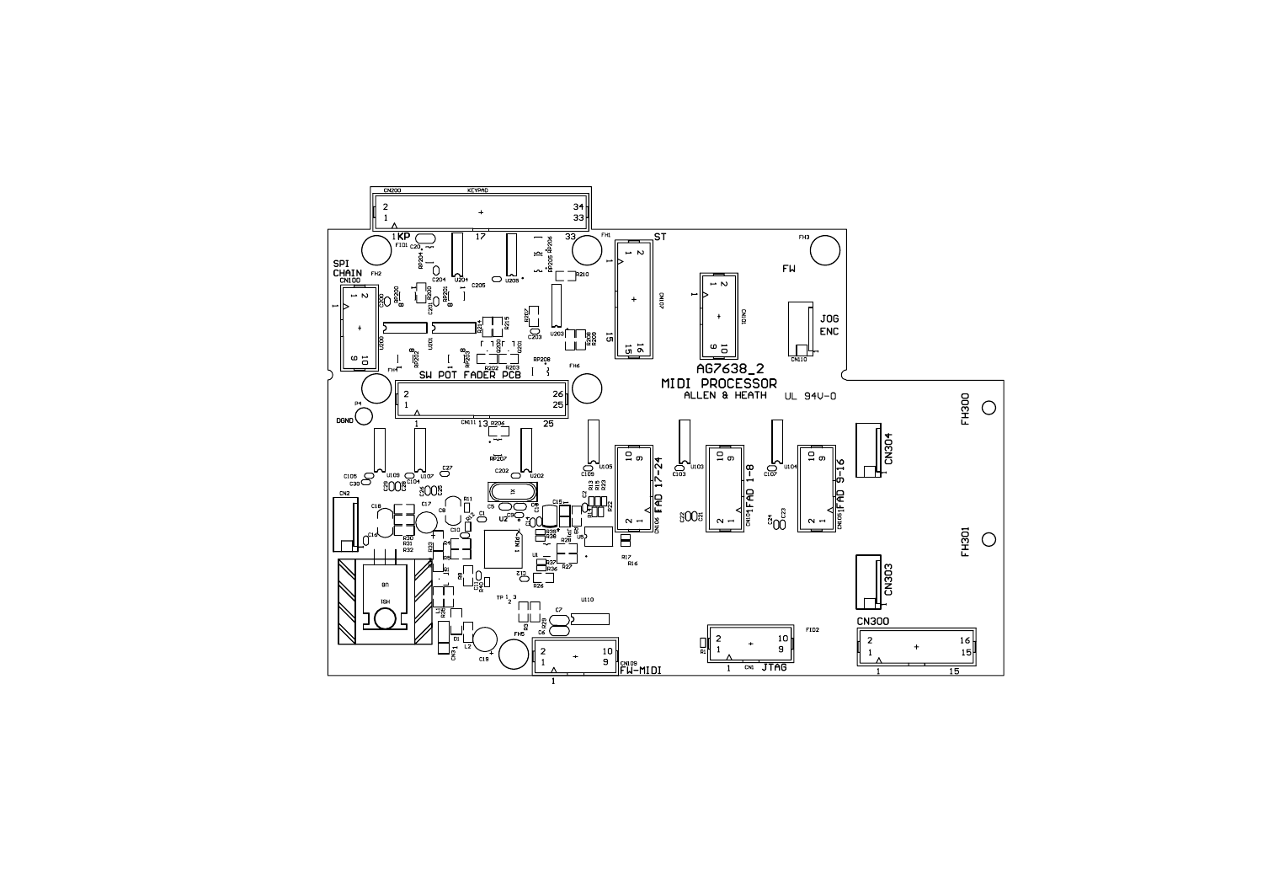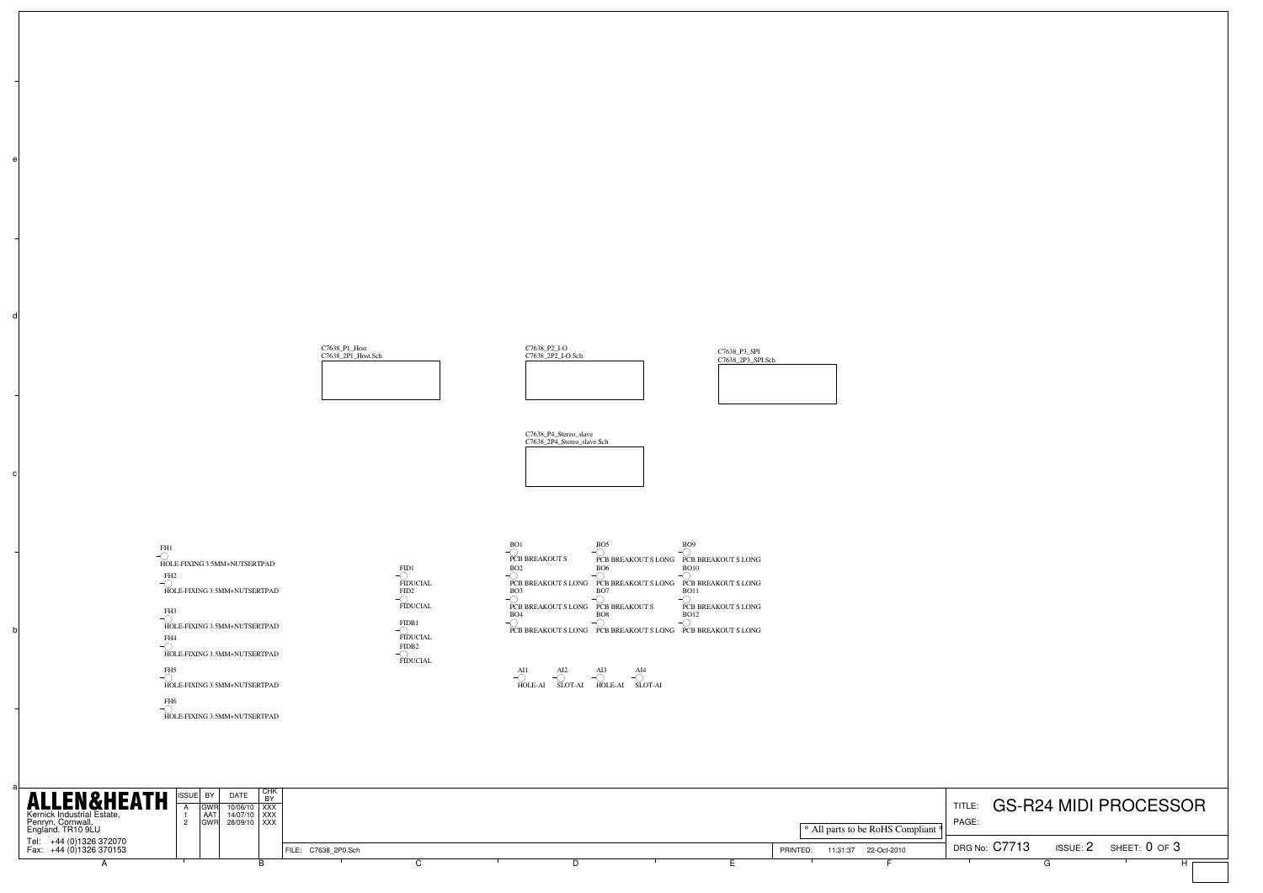

| <b>ALLEN&amp;HEATH</b> SSUE BY DATE<br>Kernick Industrial Estate,<br>Penryn, Cornwall,<br>England. TR10 9LU | I AATI | 10/06/10 XXX<br>14/07/10 XXX<br>GWR 28/09/10 XXX | <b>I</b> CHN |                     |  |  | * All parts to be RoHS Compliant *  | <b>TITLE</b><br>PAGE:       | <b>GS-R24 MIDI PROCESSOR</b> |
|-------------------------------------------------------------------------------------------------------------|--------|--------------------------------------------------|--------------|---------------------|--|--|-------------------------------------|-----------------------------|------------------------------|
| Tel: +44 (0)1326 372070<br>Fax: +44 (0)1326 370153                                                          |        |                                                  |              | FILE: C7638 2P0.Sch |  |  | 22-Oct-2010<br>PRINTED:<br>11:31:37 | DRG No: C7713<br>ISSUE: $2$ | sheet: 0 of 3                |
|                                                                                                             |        |                                                  |              |                     |  |  |                                     |                             |                              |

a

b

d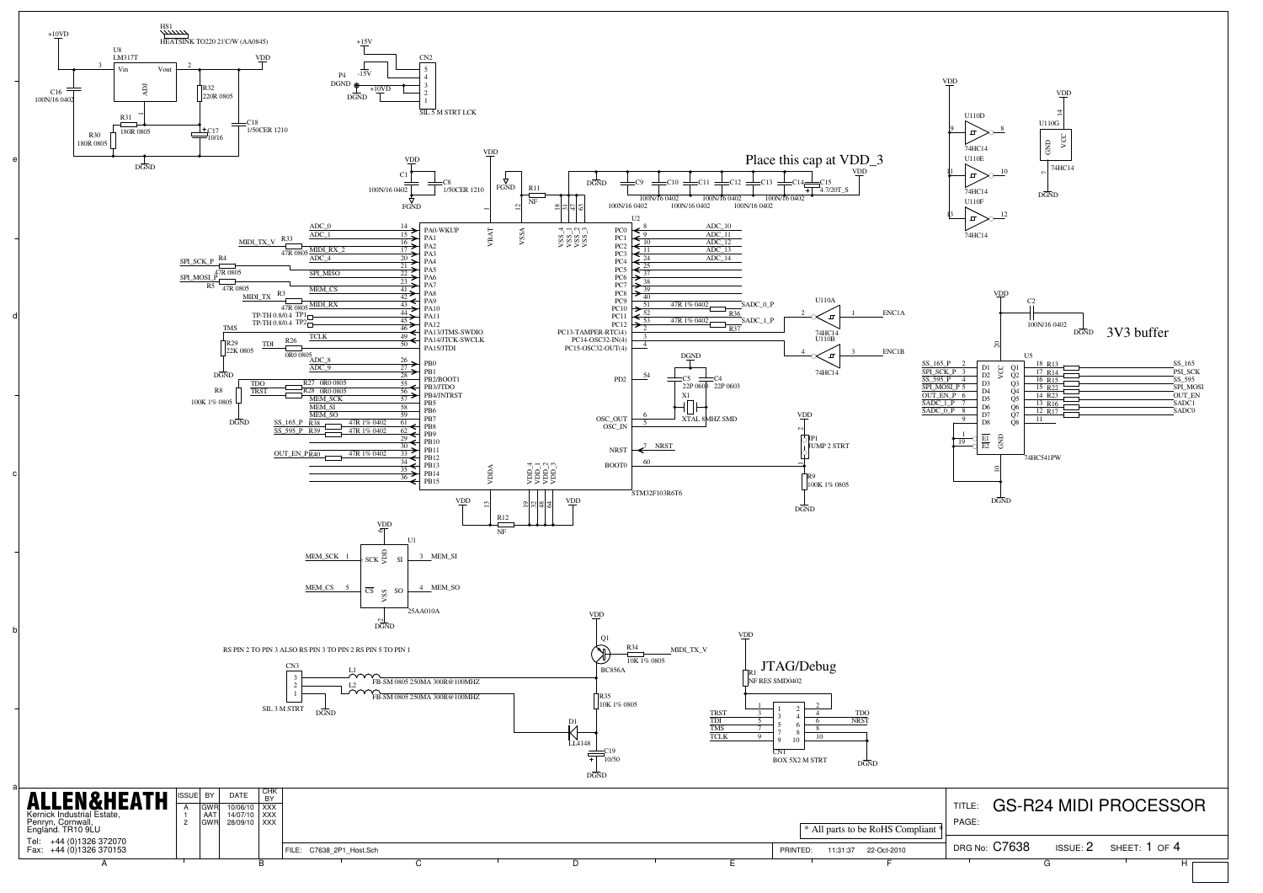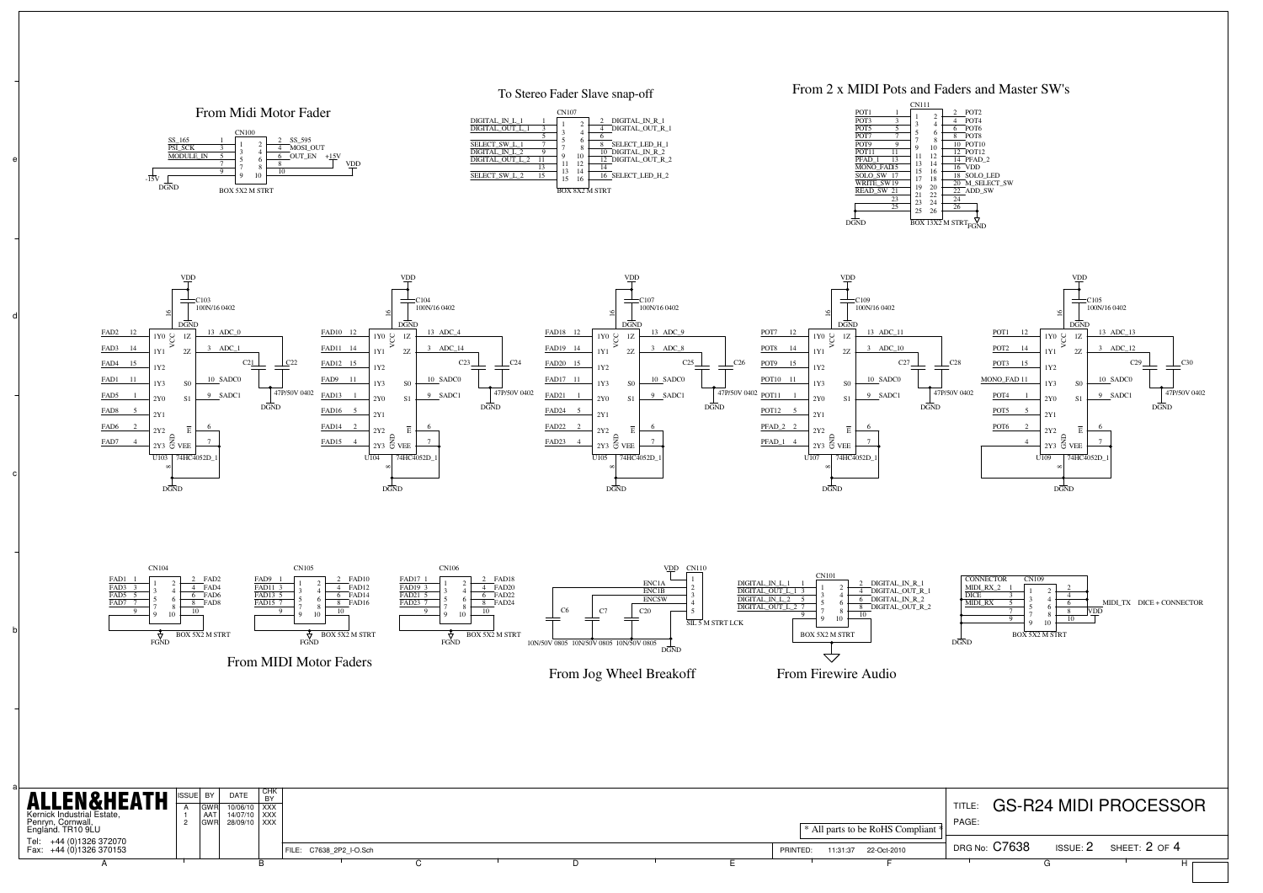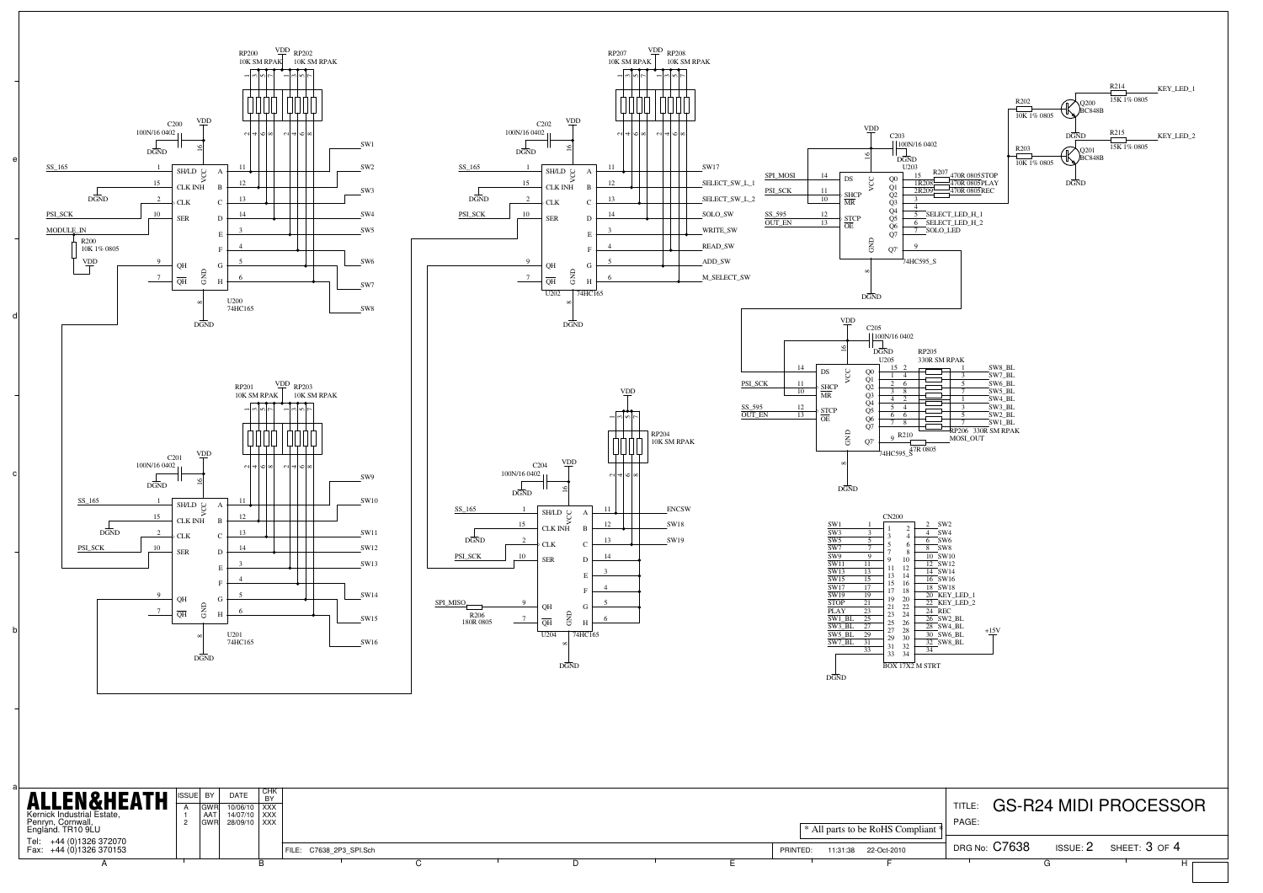